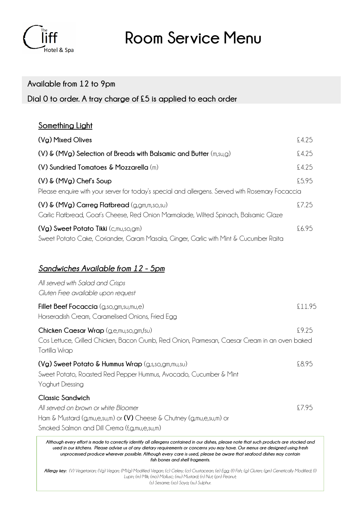

**Room Service Menu**

#### **Available from 12 to 9pm**

**Dial 0 to order. A tray charge of £5 is applied to each order**

#### **Something Light**

| (Vg) Mixed Olives                                                                                                                             | £4.25 |
|-----------------------------------------------------------------------------------------------------------------------------------------------|-------|
| (V) $\&$ (MVg) Selection of Breads with Balsamic and Butter $(m,s_0,g)$                                                                       | £4.25 |
| (V) Sundried Tomatoes & Mozzarella $(m)$                                                                                                      | £4.25 |
| $(V)$ & $(MVg)$ Chef's Soup                                                                                                                   | £5.95 |
| Please enquire with your server for today's special and allergens. Served with Rosemary Focaccia                                              |       |
| $(V)$ & $(MVg)$ Carreg Flatbread $(g, gm, m, so, su)$<br>Garlic Flatbread, Goat's Cheese, Red Onion Marmalade, Wilted Spinach, Balsamic Glaze | £7.25 |
| $(Vg)$ Sweet Potato Tikki $(c, m\nu, so, gm)$<br>Sweet Potato Cake, Coriander, Garam Masala, Ginger, Garlic with Mint & Cucumber Raita        | £6.95 |

### *Sandwiches Available from 12 - 5pm*

| All served with Salad and Crisps<br>Gluten Free available upon request                                                                                                                  |       |
|-----------------------------------------------------------------------------------------------------------------------------------------------------------------------------------------|-------|
| <b>Fillet Beef Focaccia</b> (g,so,gm,su,mu,e)<br>Horseradish Cream, Caramelised Onions, Fried Egg                                                                                       | £1195 |
| Chicken Caesar Wrap (g,e,mu,so,gm,fsu)<br>Cos Lettuce, Grilled Chicken, Bacon Crumb, Red Onion, Parmesan, Caesar Cream in an oven baked<br>Tortilla Wrap                                | £9.25 |
| $(Vg)$ Sweet Potato & Hummus Wrap $(g,s,s_0,g_m,m_0,s_0)$<br>Sweet Potato, Roasted Red Pepper Hummus, Avocado, Cucumber & Mint<br><b>Yoghurt Dressing</b>                               | £8.95 |
| <b>Classic Sandwich</b><br>All served on brown or white Bloomer<br>Ham & Mustard (g,mu,e,su,m) or (V) Cheese & Chutney (g,mu,e,su,m) or<br>Smoked Salmon and Dill Crema (f,g,mu,e,su,m) | £7.95 |

*Although every effort is made to correctly identify all allergens contained in our dishes, please note that such products are stocked and used in our kitchens. Please advise us of any dietary requirements or concerns you may have. Our menus are designed using fresh unprocessed produce wherever possible. Although every care is used, please be aware that seafood dishes may contain fish bones and shell fragments.*

*Allergy key: (V) Vegetarian; (Vg) Vegan; (MVg) Modified Vegan; (c) Celery; (cr) Crustacean; (e) Egg; (f) Fish; (g) Gluten; (gm) Genetically Modified; (l) Lupin; (m) Milk; (mo) Mollusc; (mu) Mustard; (n) Nut; (pn) Peanut; (s) Sesame; (so) Soya; (su) Sulphur.*